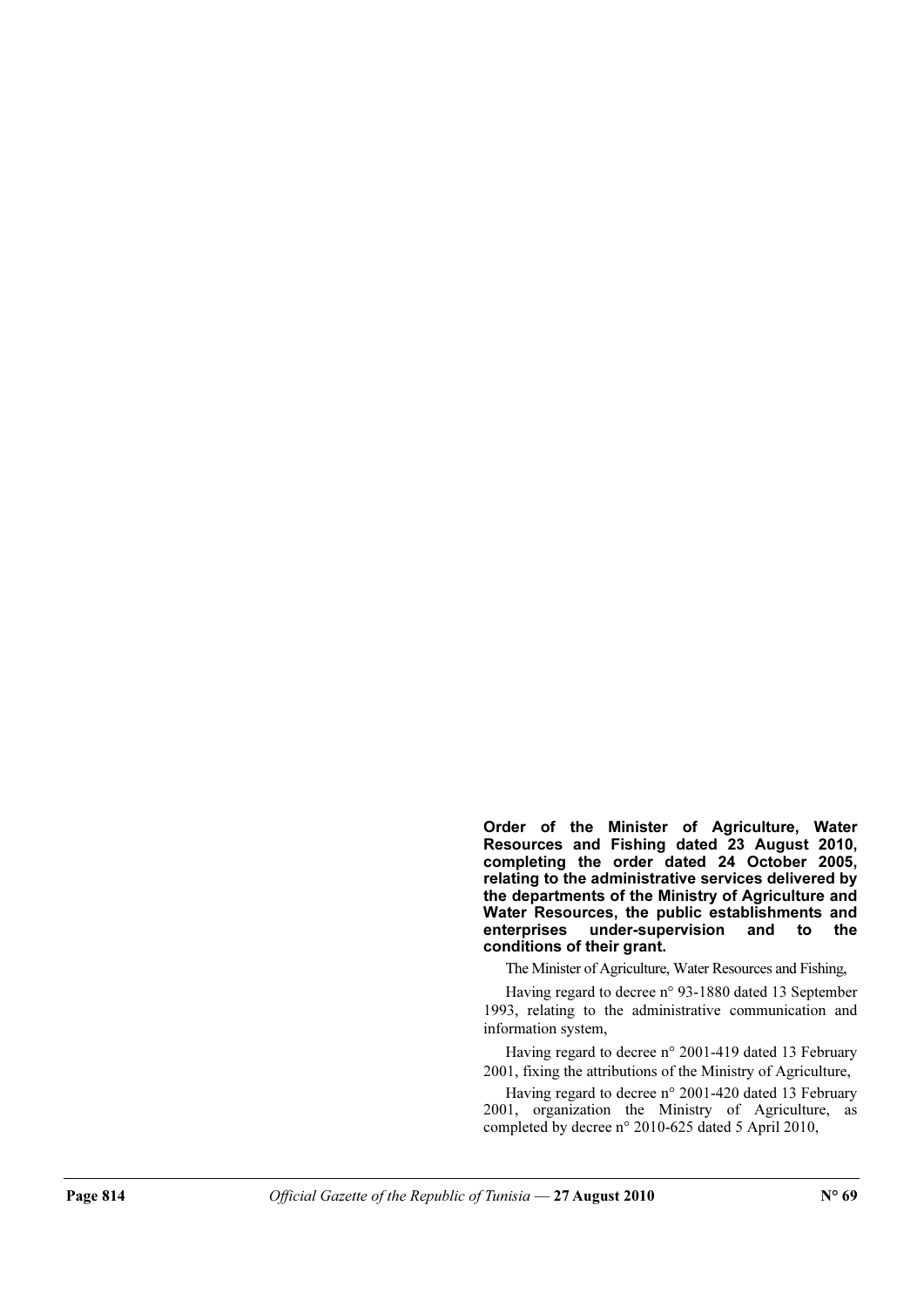Order of the Minister of Agriculture, Water Resources and Fishing dated 23 August 2010, completing the order dated 24 October 2005, relating to the administrative services delivered by the departments of the Ministry of Agriculture and Water Resources, the public establishments and enterprises under-supervision and to the conditions of their grant.

The Minister of Agriculture, Water Resources and Fishing,

Having regard to decree n° 93-1880 dated 13 September 1993, relating to the administrative communication and information system,

Having regard to decree n° 2001-419 dated 13 February 2001, fixing the attributions of the Ministry of Agriculture,

Having regard to decree n° 2001-420 dated 13 February 2001, organization the Ministry of Agriculture, as completed by decree n° 2010-625 dated 5 April 2010,